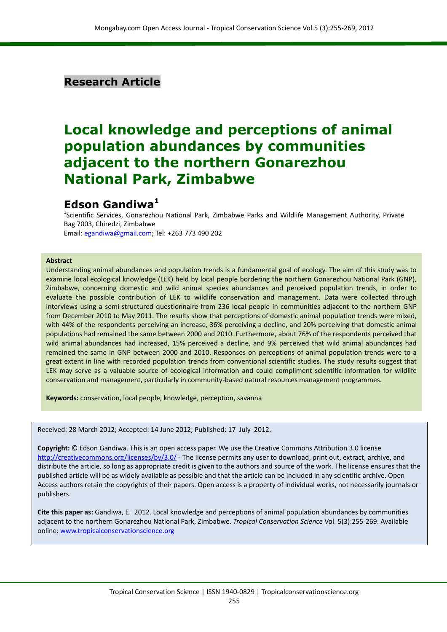# **Research Article**

# **Local knowledge and perceptions of animal population abundances by communities adjacent to the northern Gonarezhou National Park, Zimbabwe**

# **Edson Gandiwa<sup>1</sup>**

<sup>1</sup>Scientific Services, Gonarezhou National Park, Zimbabwe Parks and Wildlife Management Authority, Private Bag 7003, Chiredzi, Zimbabwe Email[: egandiwa@gmail.com;](mailto:egandiwa@gmail.com) Tel: +263 773 490 202

#### **Abstract**

Understanding animal abundances and population trends is a fundamental goal of ecology. The aim of this study was to examine local ecological knowledge (LEK) held by local people bordering the northern Gonarezhou National Park (GNP), Zimbabwe, concerning domestic and wild animal species abundances and perceived population trends, in order to evaluate the possible contribution of LEK to wildlife conservation and management. Data were collected through interviews using a semi-structured questionnaire from 236 local people in communities adjacent to the northern GNP from December 2010 to May 2011. The results show that perceptions of domestic animal population trends were mixed, with 44% of the respondents perceiving an increase, 36% perceiving a decline, and 20% perceiving that domestic animal populations had remained the same between 2000 and 2010. Furthermore, about 76% of the respondents perceived that wild animal abundances had increased, 15% perceived a decline, and 9% perceived that wild animal abundances had remained the same in GNP between 2000 and 2010. Responses on perceptions of animal population trends were to a great extent in line with recorded population trends from conventional scientific studies. The study results suggest that LEK may serve as a valuable source of ecological information and could compliment scientific information for wildlife conservation and management, particularly in community-based natural resources management programmes.

**Keywords:** conservation, local people, knowledge, perception, savanna

Received: 28 March 2012; Accepted: 14 June 2012; Published: 17 July 2012.

**Copyright:** © Edson Gandiwa. This is an open access paper. We use the Creative Commons Attribution 3.0 license <http://creativecommons.org/licenses/by/3.0/> - The license permits any user to download, print out, extract, archive, and distribute the article, so long as appropriate credit is given to the authors and source of the work. The license ensures that the published article will be as widely available as possible and that the article can be included in any scientific archive. Open Access authors retain the copyrights of their papers. Open access is a property of individual works, not necessarily journals or publishers.

**Cite this paper as:** Gandiwa, E. 2012. Local knowledge and perceptions of animal population abundances by communities adjacent to the northern Gonarezhou National Park, Zimbabwe. *Tropical Conservation Science* Vol. 5(3):255-269. Available online[: www.tropicalconservationscience.org](http://www.tropicalconservationscience.org/)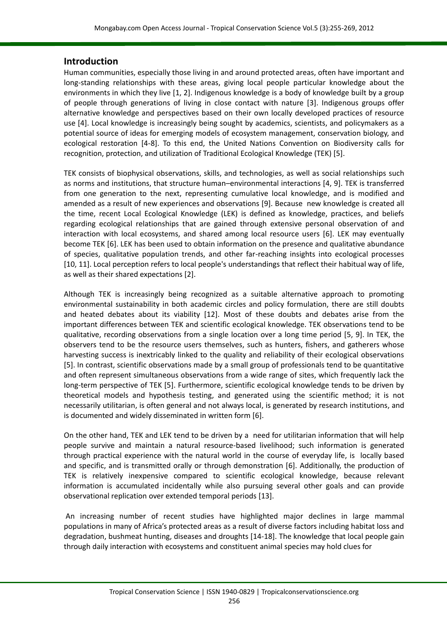## **Introduction**

Human communities, especially those living in and around protected areas, often have important and long-standing relationships with these areas, giving local people particular knowledge about the environments in which they live [\[1,](#page-9-0) [2\]](#page-9-1). Indigenous knowledge is a body of knowledge built by a group of people through generations of living in close contact with nature [\[3\]](#page-9-2). Indigenous groups offer alternative knowledge and perspectives based on their own locally developed practices of resource use [\[4\]](#page-9-3). Local knowledge is increasingly being sought by academics, scientists, and policymakers as a potential source of ideas for emerging models of ecosystem management, conservation biology, and ecological restoration [\[4-8\]](#page-9-3). To this end, the United Nations Convention on Biodiversity calls for recognition, protection, and utilization of Traditional Ecological Knowledge (TEK) [\[5\]](#page-9-4).

TEK consists of biophysical observations, skills, and technologies, as well as social relationships such as norms and institutions, that structure human–environmental interactions [\[4,](#page-9-3) [9\]](#page-9-5). TEK is transferred from one generation to the next, representing cumulative local knowledge, and is modified and amended as a result of new experiences and observations [\[9\]](#page-9-5). Because new knowledge is created all the time, recent Local Ecological Knowledge (LEK) is defined as knowledge, practices, and beliefs regarding ecological relationships that are gained through extensive personal observation of and interaction with local ecosystems, and shared among local resource users [\[6\]](#page-9-6). LEK may eventually become TEK [\[6\]](#page-9-6). LEK has been used to obtain information on the presence and qualitative abundance of species, qualitative population trends, and other far-reaching insights into ecological processes [\[10,](#page-9-7) [11\]](#page-9-8). Local perception refers to local people's understandings that reflect their habitual way of life, as well as their shared expectations [\[2\]](#page-9-1).

Although TEK is increasingly being recognized as a suitable alternative approach to promoting environmental sustainability in both academic circles and policy formulation, there are still doubts and heated debates about its viability [\[12\]](#page-9-9). Most of these doubts and debates arise from the important differences between TEK and scientific ecological knowledge. TEK observations tend to be qualitative, recording observations from a single location over a long time period [\[5,](#page-9-4) [9\]](#page-9-5). In TEK, the observers tend to be the resource users themselves, such as hunters, fishers, and gatherers whose harvesting success is inextricably linked to the quality and reliability of their ecological observations [\[5\]](#page-9-4). In contrast, scientific observations made by a small group of professionals tend to be quantitative and often represent simultaneous observations from a wide range of sites, which frequently lack the long-term perspective of TEK [\[5\]](#page-9-4). Furthermore, scientific ecological knowledge tends to be driven by theoretical models and hypothesis testing, and generated using the scientific method; it is not necessarily utilitarian, is often general and not always local, is generated by research institutions, and is documented and widely disseminated in written form [\[6\]](#page-9-6).

On the other hand, TEK and LEK tend to be driven by a need for utilitarian information that will help people survive and maintain a natural resource-based livelihood; such information is generated through practical experience with the natural world in the course of everyday life, is locally based and specific, and is transmitted orally or through demonstration [\[6\]](#page-9-6). Additionally, the production of TEK is relatively inexpensive compared to scientific ecological knowledge, because relevant information is accumulated incidentally while also pursuing several other goals and can provide observational replication over extended temporal periods [\[13\]](#page-9-10).

An increasing number of recent studies have highlighted major declines in large mammal populations in many of Africa's protected areas as a result of diverse factors including habitat loss and degradation, bushmeat hunting, diseases and droughts [\[14-18\]](#page-9-11). The knowledge that local people gain through daily interaction with ecosystems and constituent animal species may hold clues for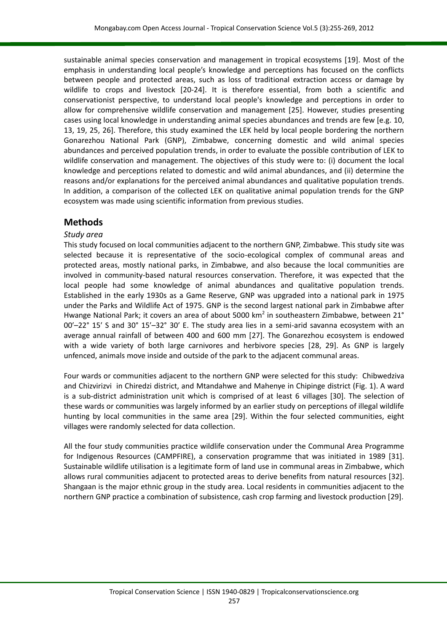sustainable animal species conservation and management in tropical ecosystems [\[19\]](#page-9-12). Most of the emphasis in understanding local people's knowledge and perceptions has focused on the conflicts between people and protected areas, such as loss of traditional extraction access or damage by wildlife to crops and livestock [\[20-24\]](#page-10-0). It is therefore essential, from both a scientific and conservationist perspective, to understand local people's knowledge and perceptions in order to allow for comprehensive wildlife conservation and management [\[25\]](#page-10-1). However, studies presenting cases using local knowledge in understanding animal species abundances and trends are few [e.g. [10,](#page-9-7) [13,](#page-9-10) [19,](#page-9-12) [25,](#page-10-1) [26\]](#page-10-2). Therefore, this study examined the LEK held by local people bordering the northern Gonarezhou National Park (GNP), Zimbabwe, concerning domestic and wild animal species abundances and perceived population trends, in order to evaluate the possible contribution of LEK to wildlife conservation and management. The objectives of this study were to: (i) document the local knowledge and perceptions related to domestic and wild animal abundances, and (ii) determine the reasons and/or explanations for the perceived animal abundances and qualitative population trends. In addition, a comparison of the collected LEK on qualitative animal population trends for the GNP ecosystem was made using scientific information from previous studies.

## **Methods**

### *Study area*

This study focused on local communities adjacent to the northern GNP, Zimbabwe. This study site was selected because it is representative of the socio-ecological complex of communal areas and protected areas, mostly national parks, in Zimbabwe, and also because the local communities are involved in community-based natural resources conservation. Therefore, it was expected that the local people had some knowledge of animal abundances and qualitative population trends. Established in the early 1930s as a Game Reserve, GNP was upgraded into a national park in 1975 under the Parks and Wildlife Act of 1975. GNP is the second largest national park in Zimbabwe after Hwange National Park; it covers an area of about 5000 km<sup>2</sup> in southeastern Zimbabwe, between 21° 00′–22° 15′ S and 30° 15′–32° 30′ E. The study area lies in a semi-arid savanna ecosystem with an average annual rainfall of between 400 and 600 mm [\[27\]](#page-10-3). The Gonarezhou ecosystem is endowed with a wide variety of both large carnivores and herbivore species [\[28,](#page-10-4) [29\]](#page-10-5). As GNP is largely unfenced, animals move inside and outside of the park to the adjacent communal areas.

Four wards or communities adjacent to the northern GNP were selected for this study: Chibwedziva and Chizvirizvi in Chiredzi district, and Mtandahwe and Mahenye in Chipinge district (Fig. 1). A ward is a sub-district administration unit which is comprised of at least 6 villages [\[30\]](#page-10-6). The selection of these wards or communities was largely informed by an earlier study on perceptions of illegal wildlife hunting by local communities in the same area [\[29\]](#page-10-5). Within the four selected communities, eight villages were randomly selected for data collection.

All the four study communities practice wildlife conservation under the Communal Area Programme for Indigenous Resources (CAMPFIRE), a conservation programme that was initiated in 1989 [\[31\]](#page-10-7). Sustainable wildlife utilisation is a legitimate form of land use in communal areas in Zimbabwe, which allows rural communities adjacent to protected areas to derive benefits from natural resources [\[32\]](#page-10-8). Shangaan is the major ethnic group in the study area. Local residents in communities adjacent to the northern GNP practice a combination of subsistence, cash crop farming and livestock production [\[29\]](#page-10-5).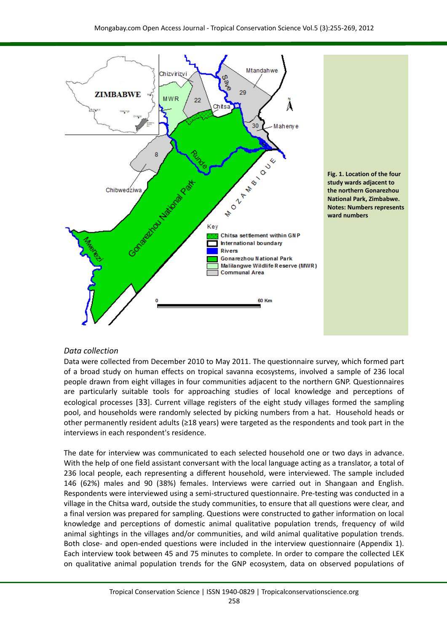

#### *Data collection*

Data were collected from December 2010 to May 2011. The questionnaire survey, which formed part of a broad study on human effects on tropical savanna ecosystems, involved a sample of 236 local people drawn from eight villages in four communities adjacent to the northern GNP. Questionnaires are particularly suitable tools for approaching studies of local knowledge and perceptions of ecological processes [[33](#page-10-9)]. Current village registers of the eight study villages formed the sampling pool, and households were randomly selected by picking numbers from a hat. Household heads or other permanently resident adults (≥18 years) were targeted as the respondents and took part in the interviews in each respondent's residence.

The date for interview was communicated to each selected household one or two days in advance. With the help of one field assistant conversant with the local language acting as a translator, a total of 236 local people, each representing a different household, were interviewed. The sample included 146 (62%) males and 90 (38%) females. Interviews were carried out in Shangaan and English. Respondents were interviewed using a semi-structured questionnaire. Pre-testing was conducted in a village in the Chitsa ward, outside the study communities, to ensure that all questions were clear, and a final version was prepared for sampling. Questions were constructed to gather information on local knowledge and perceptions of domestic animal qualitative population trends, frequency of wild animal sightings in the villages and/or communities, and wild animal qualitative population trends. Both close- and open-ended questions were included in the interview questionnaire (Appendix 1). Each interview took between 45 and 75 minutes to complete. In order to compare the collected LEK on qualitative animal population trends for the GNP ecosystem, data on observed populations of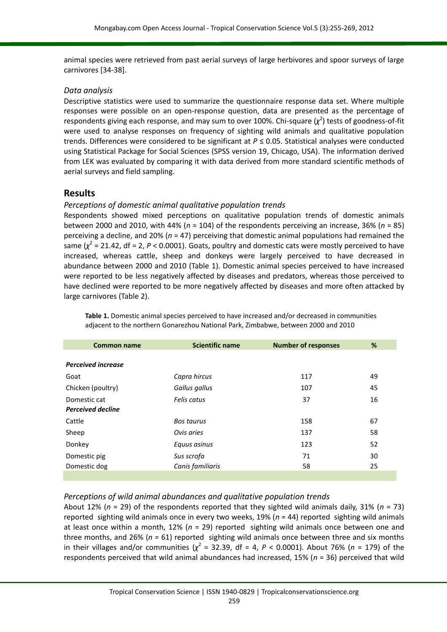animal species were retrieved from past aerial surveys of large herbivores and spoor surveys of large carnivores [\[34-38\]](#page-10-10).

#### *Data analysis*

Descriptive statistics were used to summarize the questionnaire response data set. Where multiple responses were possible on an open-response question, data are presented as the percentage of respondents giving each response, and may sum to over 100%. Chi-square  $(\chi^2)$  tests of goodness-of-fit were used to analyse responses on frequency of sighting wild animals and qualitative population trends. Differences were considered to be significant at *P* ≤ 0.05. Statistical analyses were conducted using Statistical Package for Social Sciences (SPSS version 19, Chicago, USA). The information derived from LEK was evaluated by comparing it with data derived from more standard scientific methods of aerial surveys and field sampling.

## **Results**

## *Perceptions of domestic animal qualitative population trends*

Respondents showed mixed perceptions on qualitative population trends of domestic animals between 2000 and 2010, with 44% (*n* = 104) of the respondents perceiving an increase, 36% (*n* = 85) perceiving a decline, and 20% (*n* = 47) perceiving that domestic animal populations had remained the same  $(\chi^2 = 21.42$ , df = 2, P < 0.0001). Goats, poultry and domestic cats were mostly perceived to have increased, whereas cattle, sheep and donkeys were largely perceived to have decreased in abundance between 2000 and 2010 (Table 1). Domestic animal species perceived to have increased were reported to be less negatively affected by diseases and predators, whereas those perceived to have declined were reported to be more negatively affected by diseases and more often attacked by large carnivores (Table 2).

| <b>Common name</b>        | <b>Scientific name</b> | <b>Number of responses</b> | %  |
|---------------------------|------------------------|----------------------------|----|
|                           |                        |                            |    |
| <b>Perceived increase</b> |                        |                            |    |
| Goat                      | Capra hircus           | 117                        | 49 |
| Chicken (poultry)         | Gallus gallus          | 107                        | 45 |
| Domestic cat              | Felis catus            | 37                         | 16 |
| <b>Perceived decline</b>  |                        |                            |    |
| Cattle                    | Bos taurus             | 158                        | 67 |
| Sheep                     | Ovis aries             | 137                        | 58 |
| Donkey                    | Equus asinus           | 123                        | 52 |
| Domestic pig              | Sus scrofa             | 71                         | 30 |
| Domestic dog              | Canis familiaris       | 58                         | 25 |
|                           |                        |                            |    |

**Table 1.** Domestic animal species perceived to have increased and/or decreased in communities adjacent to the northern Gonarezhou National Park, Zimbabwe, between 2000 and 2010

#### *Perceptions of wild animal abundances and qualitative population trends*

About 12% (*n* = 29) of the respondents reported that they sighted wild animals daily, 31% (*n* = 73) reported sighting wild animals once in every two weeks, 19% (*n* = 44) reported sighting wild animals at least once within a month, 12% (*n* = 29) reported sighting wild animals once between one and three months, and 26% ( $n = 61$ ) reported sighting wild animals once between three and six months in their villages and/or communities  $(\chi^2 = 32.39)$ , df = 4,  $P < 0.0001$ ). About 76% (*n* = 179) of the respondents perceived that wild animal abundances had increased, 15% (*n* = 36) perceived that wild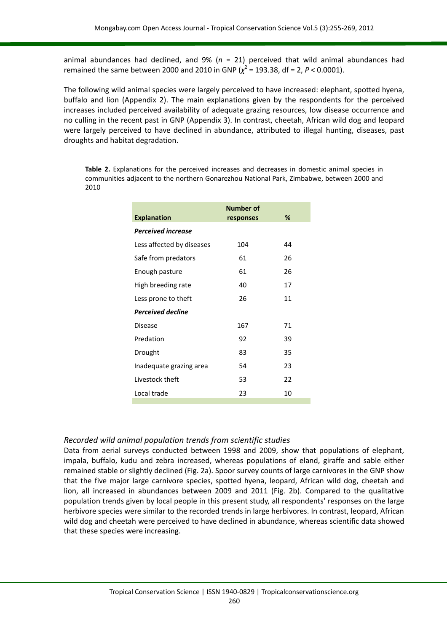animal abundances had declined, and 9% (*n* = 21) perceived that wild animal abundances had remained the same between 2000 and 2010 in GNP  $(\chi^2 = 193.38, df = 2, P < 0.0001)$ .

The following wild animal species were largely perceived to have increased: elephant, spotted hyena, buffalo and lion (Appendix 2). The main explanations given by the respondents for the perceived increases included perceived availability of adequate grazing resources, low disease occurrence and no culling in the recent past in GNP (Appendix 3). In contrast, cheetah, African wild dog and leopard were largely perceived to have declined in abundance, attributed to illegal hunting, diseases, past droughts and habitat degradation.

**Table 2.** Explanations for the perceived increases and decreases in domestic animal species in communities adjacent to the northern Gonarezhou National Park, Zimbabwe, between 2000 and 2010

|                           | <b>Number of</b> | ℅  |
|---------------------------|------------------|----|
| <b>Explanation</b>        | responses        |    |
| <b>Perceived increase</b> |                  |    |
| Less affected by diseases | 104              | 44 |
| Safe from predators       | 61               | 26 |
| Enough pasture            | 61               | 26 |
| High breeding rate        | 40               | 17 |
| Less prone to theft       | 26               | 11 |
| <b>Perceived decline</b>  |                  |    |
| Disease                   | 167              | 71 |
| Predation                 | 92               | 39 |
| Drought                   | 83               | 35 |
| Inadequate grazing area   | 54               | 23 |
| Livestock theft           | 53               | 22 |
| Local trade               | 23               | 10 |
|                           |                  |    |

#### *Recorded wild animal population trends from scientific studies*

Data from aerial surveys conducted between 1998 and 2009, show that populations of elephant, impala, buffalo, kudu and zebra increased, whereas populations of eland, giraffe and sable either remained stable or slightly declined (Fig. 2a). Spoor survey counts of large carnivores in the GNP show that the five major large carnivore species, spotted hyena, leopard, African wild dog, cheetah and lion, all increased in abundances between 2009 and 2011 (Fig. 2b). Compared to the qualitative population trends given by local people in this present study, all respondents' responses on the large herbivore species were similar to the recorded trends in large herbivores. In contrast, leopard, African wild dog and cheetah were perceived to have declined in abundance, whereas scientific data showed that these species were increasing.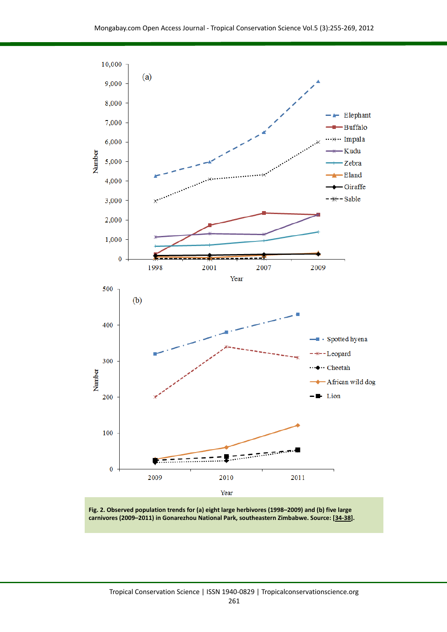

**Fig. 2. Observed population trends for (a) eight large herbivores (1998–2009) and (b) five large carnivores (2009–2011) in Gonarezhou National Park, southeastern Zimbabwe. Source: [\[34-38\]](#page-10-10).**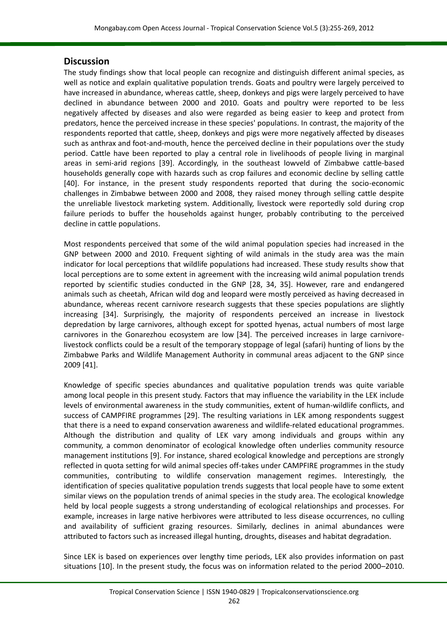## **Discussion**

The study findings show that local people can recognize and distinguish different animal species, as well as notice and explain qualitative population trends. Goats and poultry were largely perceived to have increased in abundance, whereas cattle, sheep, donkeys and pigs were largely perceived to have declined in abundance between 2000 and 2010. Goats and poultry were reported to be less negatively affected by diseases and also were regarded as being easier to keep and protect from predators, hence the perceived increase in these species' populations. In contrast, the majority of the respondents reported that cattle, sheep, donkeys and pigs were more negatively affected by diseases such as anthrax and foot-and-mouth, hence the perceived decline in their populations over the study period. Cattle have been reported to play a central role in livelihoods of people living in marginal areas in semi-arid regions [\[39\]](#page-11-0). Accordingly, in the southeast lowveld of Zimbabwe cattle-based households generally cope with hazards such as crop failures and economic decline by selling cattle [\[40\]](#page-11-1). For instance, in the present study respondents reported that during the socio-economic challenges in Zimbabwe between 2000 and 2008, they raised money through selling cattle despite the unreliable livestock marketing system. Additionally, livestock were reportedly sold during crop failure periods to buffer the households against hunger, probably contributing to the perceived decline in cattle populations.

Most respondents perceived that some of the wild animal population species had increased in the GNP between 2000 and 2010. Frequent sighting of wild animals in the study area was the main indicator for local perceptions that wildlife populations had increased. These study results show that local perceptions are to some extent in agreement with the increasing wild animal population trends reported by scientific studies conducted in the GNP [\[28,](#page-10-4) [34,](#page-10-10) [35\]](#page-10-11). However, rare and endangered animals such as cheetah, African wild dog and leopard were mostly perceived as having decreased in abundance, whereas recent carnivore research suggests that these species populations are slightly increasing [\[34\]](#page-10-10). Surprisingly, the majority of respondents perceived an increase in livestock depredation by large carnivores, although except for spotted hyenas, actual numbers of most large carnivores in the Gonarezhou ecosystem are low [\[34\]](#page-10-10). The perceived increases in large carnivorelivestock conflicts could be a result of the temporary stoppage of legal (safari) hunting of lions by the Zimbabwe Parks and Wildlife Management Authority in communal areas adjacent to the GNP since 2009 [\[41\]](#page-11-2).

Knowledge of specific species abundances and qualitative population trends was quite variable among local people in this present study. Factors that may influence the variability in the LEK include levels of environmental awareness in the study communities, extent of human-wildlife conflicts, and success of CAMPFIRE programmes [\[29\]](#page-10-5). The resulting variations in LEK among respondents suggest that there is a need to expand conservation awareness and wildlife-related educational programmes. Although the distribution and quality of LEK vary among individuals and groups within any community, a common denominator of ecological knowledge often underlies community resource management institutions [\[9\]](#page-9-5). For instance, shared ecological knowledge and perceptions are strongly reflected in quota setting for wild animal species off-takes under CAMPFIRE programmes in the study communities, contributing to wildlife conservation management regimes. Interestingly, the identification of species qualitative population trends suggests that local people have to some extent similar views on the population trends of animal species in the study area. The ecological knowledge held by local people suggests a strong understanding of ecological relationships and processes. For example, increases in large native herbivores were attributed to less disease occurrences, no culling and availability of sufficient grazing resources. Similarly, declines in animal abundances were attributed to factors such as increased illegal hunting, droughts, diseases and habitat degradation.

Since LEK is based on experiences over lengthy time periods, LEK also provides information on past situations [\[10\]](#page-9-7). In the present study, the focus was on information related to the period 2000–2010.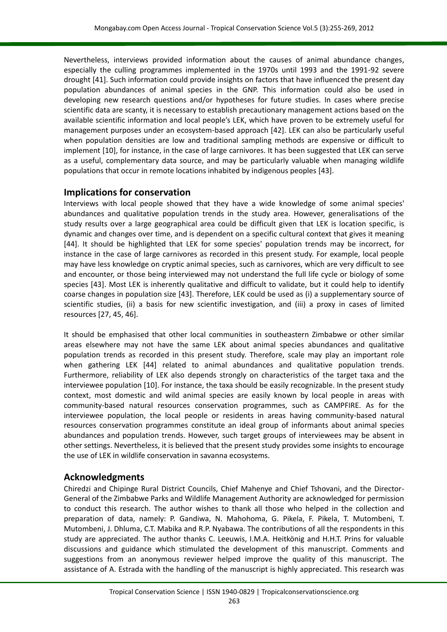Nevertheless, interviews provided information about the causes of animal abundance changes, especially the culling programmes implemented in the 1970s until 1993 and the 1991-92 severe drought [\[41\]](#page-11-2). Such information could provide insights on factors that have influenced the present day population abundances of animal species in the GNP. This information could also be used in developing new research questions and/or hypotheses for future studies. In cases where precise scientific data are scanty, it is necessary to establish precautionary management actions based on the available scientific information and local people's LEK, which have proven to be extremely useful for management purposes under an ecosystem-based approach [\[42\]](#page-11-3). LEK can also be particularly useful when population densities are low and traditional sampling methods are expensive or difficult to implement [\[10\]](#page-9-7), for instance, in the case of large carnivores. It has been suggested that LEK can serve as a useful, complementary data source, and may be particularly valuable when managing wildlife populations that occur in remote locations inhabited by indigenous peoples [\[43\]](#page-11-4).

## **Implications for conservation**

Interviews with local people showed that they have a wide knowledge of some animal species' abundances and qualitative population trends in the study area. However, generalisations of the study results over a large geographical area could be difficult given that LEK is location specific, is dynamic and changes over time, and is dependent on a specific cultural context that gives it meaning [\[44\]](#page-11-5). It should be highlighted that LEK for some species' population trends may be incorrect, for instance in the case of large carnivores as recorded in this present study. For example, local people may have less knowledge on cryptic animal species, such as carnivores, which are very difficult to see and encounter, or those being interviewed may not understand the full life cycle or biology of some species [\[43\]](#page-11-4). Most LEK is inherently qualitative and difficult to validate, but it could help to identify coarse changes in population size [\[43\]](#page-11-4). Therefore, LEK could be used as (i) a supplementary source of scientific studies, (ii) a basis for new scientific investigation, and (iii) a proxy in cases of limited resources [\[27,](#page-10-2) [45,](#page-11-6) [46\]](#page-11-7).

It should be emphasised that other local communities in southeastern Zimbabwe or other similar areas elsewhere may not have the same LEK about animal species abundances and qualitative population trends as recorded in this present study. Therefore, scale may play an important role when gathering LEK [\[44\]](#page-11-5) related to animal abundances and qualitative population trends. Furthermore, reliability of LEK also depends strongly on characteristics of the target taxa and the interviewee population [\[10\]](#page-9-7). For instance, the taxa should be easily recognizable. In the present study context, most domestic and wild animal species are easily known by local people in areas with community-based natural resources conservation programmes, such as CAMPFIRE. As for the interviewee population, the local people or residents in areas having community-based natural resources conservation programmes constitute an ideal group of informants about animal species abundances and population trends. However, such target groups of interviewees may be absent in other settings. Nevertheless, it is believed that the present study provides some insights to encourage the use of LEK in wildlife conservation in savanna ecosystems.

## **Acknowledgments**

Chiredzi and Chipinge Rural District Councils, Chief Mahenye and Chief Tshovani, and the Director-General of the Zimbabwe Parks and Wildlife Management Authority are acknowledged for permission to conduct this research. The author wishes to thank all those who helped in the collection and preparation of data, namely: P. Gandiwa, N. Mahohoma, G. Pikela, F. Pikela, T. Mutombeni, T. Mutombeni, J. Dhluma, C.T. Mabika and R.P. Nyabawa. The contributions of all the respondents in this study are appreciated. The author thanks C. Leeuwis, I.M.A. Heitkönig and H.H.T. Prins for valuable discussions and guidance which stimulated the development of this manuscript. Comments and suggestions from an anonymous reviewer helped improve the quality of this manuscript. The assistance of A. Estrada with the handling of the manuscript is highly appreciated. This research was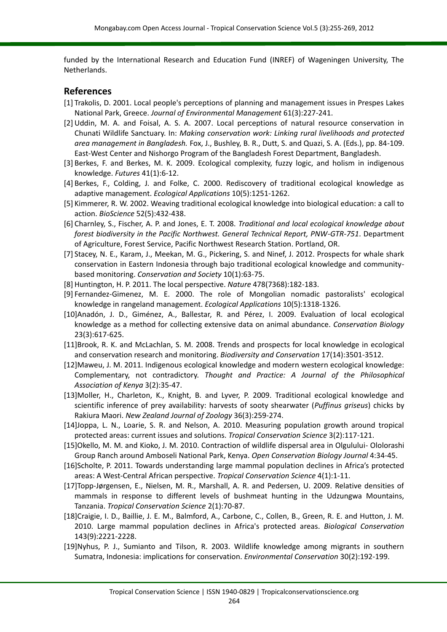funded by the International Research and Education Fund (INREF) of Wageningen University, The Netherlands.

#### **References**

- <span id="page-9-0"></span>[1] Trakolis, D. 2001. Local people's perceptions of planning and management issues in Prespes Lakes National Park, Greece. *Journal of Environmental Management* 61(3):227-241.
- <span id="page-9-1"></span>[2] Uddin, M. A. and Foisal, A. S. A. 2007. Local perceptions of natural resource conservation in Chunati Wildlife Sanctuary. In: *Making conservation work: Linking rural livelihoods and protected area management in Bangladesh.* Fox, J., Bushley, B. R., Dutt, S. and Quazi, S. A. (Eds.), pp. 84-109. East-West Center and Nishorgo Program of the Bangladesh Forest Department, Bangladesh.
- <span id="page-9-2"></span>[3] Berkes, F. and Berkes, M. K. 2009. Ecological complexity, fuzzy logic, and holism in indigenous knowledge. *Futures* 41(1):6-12.
- <span id="page-9-3"></span>[4] Berkes, F., Colding, J. and Folke, C. 2000. Rediscovery of traditional ecological knowledge as adaptive management. *Ecological Applications* 10(5):1251-1262.
- <span id="page-9-4"></span>[5] Kimmerer, R. W. 2002. Weaving traditional ecological knowledge into biological education: a call to action. *BioScience* 52(5):432-438.
- <span id="page-9-6"></span>[6] Charnley, S., Fischer, A. P. and Jones, E. T. 2008. *Traditional and local ecological knowledge about forest biodiversity in the Pacific Northwest. General Technical Report, PNW-GTR-751*. Department of Agriculture, Forest Service, Pacific Northwest Research Station. Portland, OR.
- [7] Stacey, N. E., Karam, J., Meekan, M. G., Pickering, S. and Ninef, J. 2012. Prospects for whale shark conservation in Eastern Indonesia through bajo traditional ecological knowledge and communitybased monitoring. *Conservation and Society* 10(1):63-75.
- [8] Huntington, H. P. 2011. The local perspective. *Nature* 478(7368):182-183.
- <span id="page-9-5"></span>[9] Fernandez-Gimenez, M. E. 2000. The role of Mongolian nomadic pastoralists' ecological knowledge in rangeland management. *Ecological Applications* 10(5):1318-1326.
- <span id="page-9-7"></span>[10]Anadón, J. D., Giménez, A., Ballestar, R. and Pérez, I. 2009. Evaluation of local ecological knowledge as a method for collecting extensive data on animal abundance. *Conservation Biology* 23(3):617-625.
- <span id="page-9-8"></span>[11]Brook, R. K. and McLachlan, S. M. 2008. Trends and prospects for local knowledge in ecological and conservation research and monitoring. *Biodiversity and Conservation* 17(14):3501-3512.
- <span id="page-9-9"></span>[12]Maweu, J. M. 2011. Indigenous ecological knowledge and modern western ecological knowledge: Complementary, not contradictory. *Thought and Practice: A Journal of the Philosophical Association of Kenya* 3(2):35-47.
- <span id="page-9-10"></span>[13]Moller, H., Charleton, K., Knight, B. and Lyver, P. 2009. Traditional ecological knowledge and scientific inference of prey availability: harvests of sooty shearwater (*Puffinus griseus*) chicks by Rakiura Maori. *New Zealand Journal of Zoology* 36(3):259-274.
- <span id="page-9-11"></span>[14]Joppa, L. N., Loarie, S. R. and Nelson, A. 2010. Measuring population growth around tropical protected areas: current issues and solutions. *Tropical Conservation Science* 3(2):117-121.
- [15]Okello, M. M. and Kioko, J. M. 2010. Contraction of wildlife dispersal area in Olgulului- Ololorashi Group Ranch around Amboseli National Park, Kenya. *Open Conservation Biology Journal* 4:34-45.
- [16]Scholte, P. 2011. Towards understanding large mammal population declines in Africa's protected areas: A West-Central African perspective. *Tropical Conservation Science* 4(1):1-11.
- [17]Topp-Jørgensen, E., Nielsen, M. R., Marshall, A. R. and Pedersen, U. 2009. Relative densities of mammals in response to different levels of bushmeat hunting in the Udzungwa Mountains, Tanzania. *Tropical Conservation Science* 2(1):70-87.
- [18]Craigie, I. D., Baillie, J. E. M., Balmford, A., Carbone, C., Collen, B., Green, R. E. and Hutton, J. M. 2010. Large mammal population declines in Africa's protected areas. *Biological Conservation* 143(9):2221-2228.
- <span id="page-9-12"></span>[19]Nyhus, P. J., Sumianto and Tilson, R. 2003. Wildlife knowledge among migrants in southern Sumatra, Indonesia: implications for conservation. *Environmental Conservation* 30(2):192-199.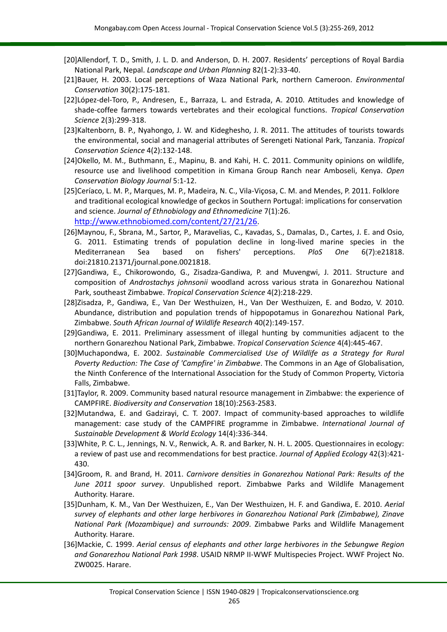- <span id="page-10-0"></span>[20]Allendorf, T. D., Smith, J. L. D. and Anderson, D. H. 2007. Residents' perceptions of Royal Bardia National Park, Nepal. *Landscape and Urban Planning* 82(1-2):33-40.
- [21]Bauer, H. 2003. Local perceptions of Waza National Park, northern Cameroon. *Environmental Conservation* 30(2):175-181.
- [22]López-del-Toro, P., Andresen, E., Barraza, L. and Estrada, A. 2010. Attitudes and knowledge of shade-coffee farmers towards vertebrates and their ecological functions. *Tropical Conservation Science* 2(3):299-318.
- [23]Kaltenborn, B. P., Nyahongo, J. W. and Kideghesho, J. R. 2011. The attitudes of tourists towards the environmental, social and managerial attributes of Serengeti National Park, Tanzania. *Tropical Conservation Science* 4(2):132-148.
- [24]Okello, M. M., Buthmann, E., Mapinu, B. and Kahi, H. C. 2011. Community opinions on wildlife, resource use and livelihood competition in Kimana Group Ranch near Amboseli, Kenya. *Open Conservation Biology Journal* 5:1-12.
- <span id="page-10-1"></span>[25]Ceríaco, L. M. P., Marques, M. P., Madeira, N. C., Vila-Viçosa, C. M. and Mendes, P. 2011. Folklore and traditional ecological knowledge of geckos in Southern Portugal: implications for conservation and science. *Journal of Ethnobiology and Ethnomedicine* 7(1):26. <http://www.ethnobiomed.com/content/27/21/26>.
- <span id="page-10-2"></span>[26]Maynou, F., Sbrana, M., Sartor, P., Maravelias, C., Kavadas, S., Damalas, D., Cartes, J. E. and Osio, G. 2011. Estimating trends of population decline in long-lived marine species in the Mediterranean Sea based on fishers' perceptions. *PloS One* 6(7):e21818. doi:21810.21371/journal.pone.0021818.
- <span id="page-10-3"></span>[27]Gandiwa, E., Chikorowondo, G., Zisadza-Gandiwa, P. and Muvengwi, J. 2011. Structure and composition of *Androstachys johnsonii* woodland across various strata in Gonarezhou National Park, southeast Zimbabwe. *Tropical Conservation Science* 4(2):218-229.
- <span id="page-10-4"></span>[28]Zisadza, P., Gandiwa, E., Van Der Westhuizen, H., Van Der Westhuizen, E. and Bodzo, V. 2010. Abundance, distribution and population trends of hippopotamus in Gonarezhou National Park, Zimbabwe. *South African Journal of Wildlife Research* 40(2):149-157.
- <span id="page-10-5"></span>[29]Gandiwa, E. 2011. Preliminary assessment of illegal hunting by communities adjacent to the northern Gonarezhou National Park, Zimbabwe. *Tropical Conservation Science* 4(4):445-467.
- <span id="page-10-6"></span>[30]Muchapondwa, E. 2002. *Sustainable Commercialised Use of Wildlife as a Strategy for Rural Poverty Reduction: The Case of 'Campfire' in Zimbabwe*. The Commons in an Age of Globalisation, the Ninth Conference of the International Association for the Study of Common Property, Victoria Falls, Zimbabwe.
- <span id="page-10-7"></span>[31]Taylor, R. 2009. Community based natural resource management in Zimbabwe: the experience of CAMPFIRE. *Biodiversity and Conservation* 18(10):2563-2583.
- <span id="page-10-8"></span>[32]Mutandwa, E. and Gadzirayi, C. T. 2007. Impact of community-based approaches to wildlife management: case study of the CAMPFIRE programme in Zimbabwe. *International Journal of Sustainable Development & World Ecology* 14(4):336-344.
- <span id="page-10-9"></span>[33]White, P. C. L., Jennings, N. V., Renwick, A. R. and Barker, N. H. L. 2005. Questionnaires in ecology: a review of past use and recommendations for best practice. *Journal of Applied Ecology* 42(3):421- 430.
- <span id="page-10-10"></span>[34]Groom, R. and Brand, H. 2011. *Carnivore densities in Gonarezhou National Park: Results of the June 2011 spoor survey*. Unpublished report. Zimbabwe Parks and Wildlife Management Authority. Harare.
- <span id="page-10-11"></span>[35]Dunham, K. M., Van Der Westhuizen, E., Van Der Westhuizen, H. F. and Gandiwa, E. 2010. *Aerial survey of elephants and other large herbivores in Gonarezhou National Park (Zimbabwe), Zinave National Park (Mozambique) and surrounds: 2009*. Zimbabwe Parks and Wildlife Management Authority. Harare.
- [36]Mackie, C. 1999. *Aerial census of elephants and other large herbivores in the Sebungwe Region and Gonarezhou National Park 1998*. USAID NRMP II-WWF Multispecies Project. WWF Project No. ZW0025. Harare.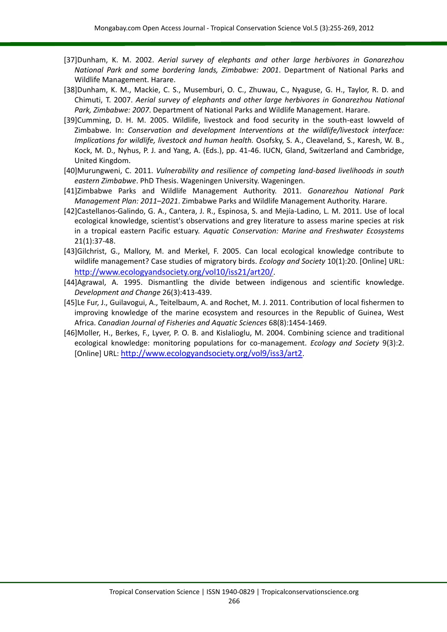- [37]Dunham, K. M. 2002. *Aerial survey of elephants and other large herbivores in Gonarezhou National Park and some bordering lands, Zimbabwe: 2001*. Department of National Parks and Wildlife Management. Harare.
- [38]Dunham, K. M., Mackie, C. S., Musemburi, O. C., Zhuwau, C., Nyaguse, G. H., Taylor, R. D. and Chimuti, T. 2007. *Aerial survey of elephants and other large herbivores in Gonarezhou National Park, Zimbabwe: 2007*. Department of National Parks and Wildlife Management. Harare.
- <span id="page-11-0"></span>[39]Cumming, D. H. M. 2005. Wildlife, livestock and food security in the south-east lowveld of Zimbabwe. In: *Conservation and development Interventions at the wildlife/livestock interface: Implications for wildlife, livestock and human health.* Osofsky, S. A., Cleaveland, S., Karesh, W. B., Kock, M. D., Nyhus, P. J. and Yang, A. (Eds.), pp. 41-46. IUCN, Gland, Switzerland and Cambridge, United Kingdom.
- <span id="page-11-1"></span>[40]Murungweni, C. 2011. *Vulnerability and resilience of competing land-based livelihoods in south eastern Zimbabwe*. PhD Thesis. Wageningen University. Wageningen.
- <span id="page-11-2"></span>[41]Zimbabwe Parks and Wildlife Management Authority. 2011. *Gonarezhou National Park Management Plan: 2011–2021*. Zimbabwe Parks and Wildlife Management Authority. Harare.
- <span id="page-11-3"></span>[42]Castellanos-Galindo, G. A., Cantera, J. R., Espinosa, S. and Mejía-Ladino, L. M. 2011. Use of local ecological knowledge, scientist's observations and grey literature to assess marine species at risk in a tropical eastern Pacific estuary. *Aquatic Conservation: Marine and Freshwater Ecosystems* 21(1):37-48.
- <span id="page-11-4"></span>[43]Gilchrist, G., Mallory, M. and Merkel, F. 2005. Can local ecological knowledge contribute to wildlife management? Case studies of migratory birds. *Ecology and Society* 10(1):20. [Online] URL: <http://www.ecologyandsociety.org/vol10/iss21/art20/>.
- <span id="page-11-5"></span>[44]Agrawal, A. 1995. Dismantling the divide between indigenous and scientific knowledge. *Development and Change* 26(3):413-439.
- <span id="page-11-6"></span>[45]Le Fur, J., Guilavogui, A., Teitelbaum, A. and Rochet, M. J. 2011. Contribution of local fishermen to improving knowledge of the marine ecosystem and resources in the Republic of Guinea, West Africa. *Canadian Journal of Fisheries and Aquatic Sciences* 68(8):1454-1469.
- <span id="page-11-7"></span>[46]Moller, H., Berkes, F., Lyver, P. O. B. and Kislalioglu, M. 2004. Combining science and traditional ecological knowledge: monitoring populations for co-management. *Ecology and Society* 9(3):2. [Online] URL: <http://www.ecologyandsociety.org/vol9/iss3/art2>.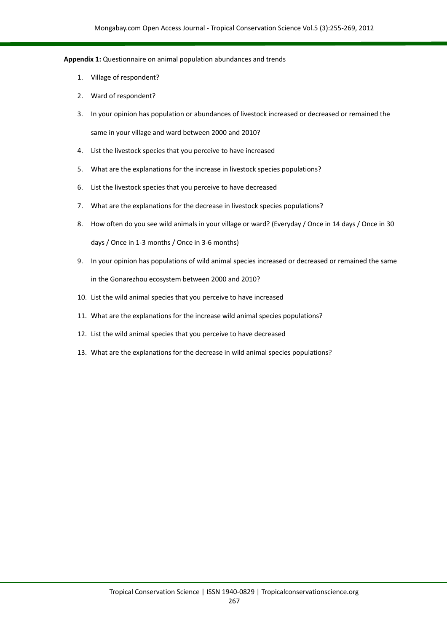#### **Appendix 1:** Questionnaire on animal population abundances and trends

- 1. Village of respondent?
- 2. Ward of respondent?
- 3. In your opinion has population or abundances of livestock increased or decreased or remained the same in your village and ward between 2000 and 2010?
- 4. List the livestock species that you perceive to have increased
- 5. What are the explanations for the increase in livestock species populations?
- 6. List the livestock species that you perceive to have decreased
- 7. What are the explanations for the decrease in livestock species populations?
- 8. How often do you see wild animals in your village or ward? (Everyday / Once in 14 days / Once in 30 days / Once in 1-3 months / Once in 3-6 months)
- 9. In your opinion has populations of wild animal species increased or decreased or remained the same in the Gonarezhou ecosystem between 2000 and 2010?
- 10. List the wild animal species that you perceive to have increased
- 11. What are the explanations for the increase wild animal species populations?
- 12. List the wild animal species that you perceive to have decreased
- 13. What are the explanations for the decrease in wild animal species populations?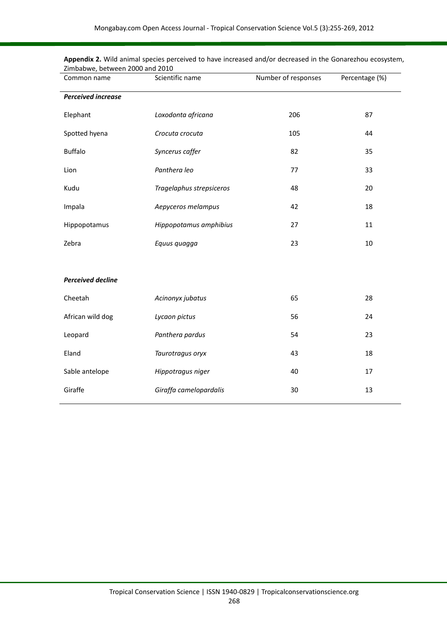| Common name               | Scientific name          | Number of responses | Percentage (%) |
|---------------------------|--------------------------|---------------------|----------------|
| <b>Perceived increase</b> |                          |                     |                |
| Elephant                  | Loxodonta africana       | 206                 | 87             |
| Spotted hyena             | Crocuta crocuta          | 105                 | 44             |
| <b>Buffalo</b>            | Syncerus caffer          | 82                  | 35             |
| Lion                      | Panthera leo             | 77                  | 33             |
| Kudu                      | Tragelaphus strepsiceros | 48                  | 20             |
| Impala                    | Aepyceros melampus       | 42                  | 18             |
| Hippopotamus              | Hippopotamus amphibius   | 27                  | 11             |
| Zebra                     | Equus quagga             | 23                  | 10             |
|                           |                          |                     |                |
| <b>Perceived decline</b>  |                          |                     |                |
| Cheetah                   | Acinonyx jubatus         | 65                  | 28             |
| African wild dog          | Lycaon pictus            | 56                  | 24             |
| Leopard                   | Panthera pardus          | 54                  | 23             |
| Eland                     | Taurotragus oryx         | 43                  | 18             |
| Sable antelope            | Hippotragus niger        | 40                  | 17             |
| Giraffe                   | Giraffa camelopardalis   | 30                  | 13             |

**Appendix 2.** Wild animal species perceived to have increased and/or decreased in the Gonarezhou ecosystem, Zimbabwe, between 2000 and 2010